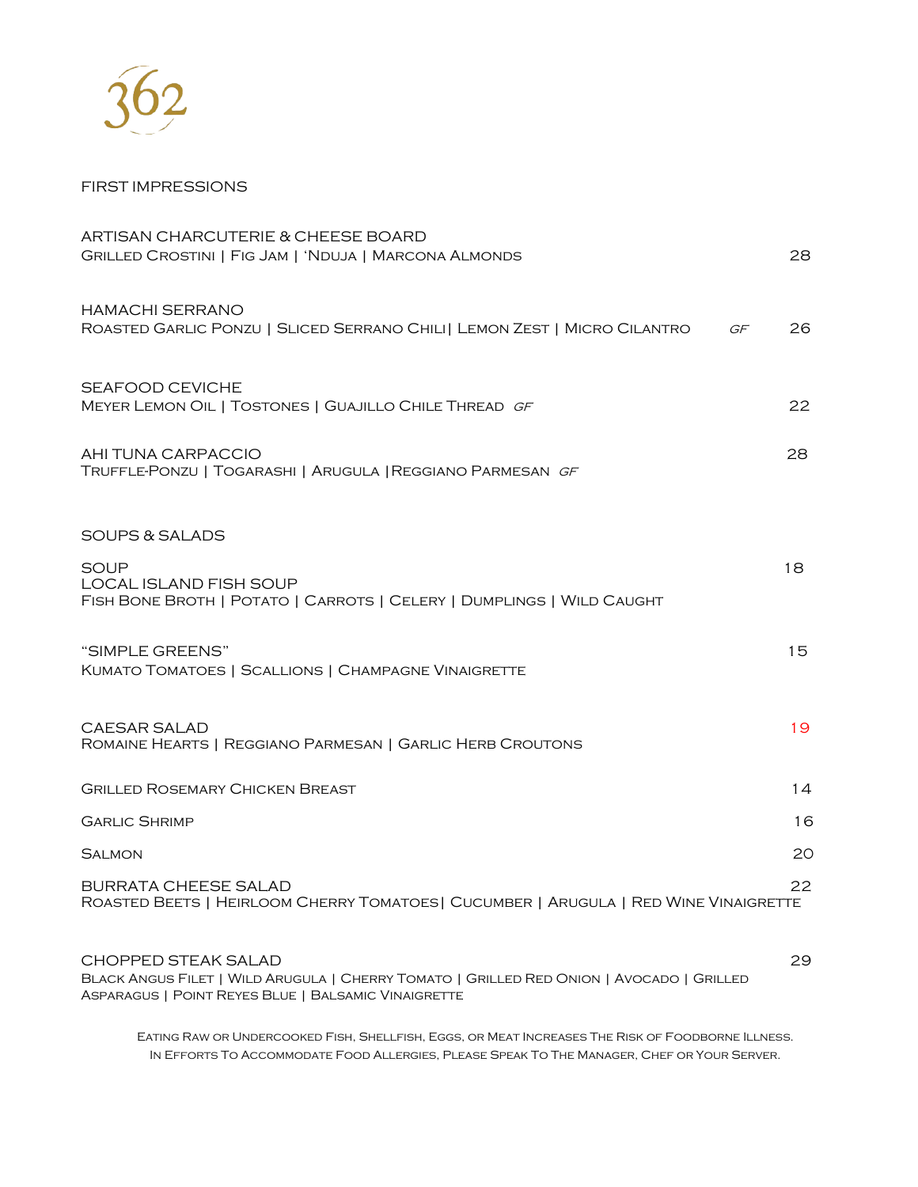

## FIRST IMPRESSIONS

| ARTISAN CHARCUTERIE & CHEESE BOARD<br>GRILLED CROSTINI   FIG JAM   'NDUJA   MARCONA ALMONDS                            | 28 |
|------------------------------------------------------------------------------------------------------------------------|----|
| HAMACHI SERRANO<br>ROASTED GARLIC PONZU   SLICED SERRANO CHILI   LEMON ZEST   MICRO CILANTRO<br>GF                     | 26 |
| <b>SEAFOOD CEVICHE</b><br>MEYER LEMON OIL   TOSTONES   GUAJILLO CHILE THREAD GF                                        | 22 |
| AHI TUNA CARPACCIO<br>TRUFFLE-PONZU   TOGARASHI   ARUGULA   REGGIANO PARMESAN GF                                       | 28 |
| SOUPS & SALADS                                                                                                         |    |
| <b>SOUP</b><br>LOCAL ISLAND FISH SOUP<br>FISH BONE BROTH   POTATO   CARROTS   CELERY   DUMPLINGS   WILD CAUGHT         | 18 |
| "SIMPLE GREENS"<br>KUMATO TOMATOES   SCALLIONS   CHAMPAGNE VINAIGRETTE                                                 | 15 |
| <b>CAESAR SALAD</b><br>ROMAINE HEARTS   REGGIANO PARMESAN   GARLIC HERB CROUTONS                                       | 19 |
| <b>GRILLED ROSEMARY CHICKEN BREAST</b>                                                                                 | 14 |
| <b>GARLIC SHRIMP</b>                                                                                                   | 16 |
| <b>SALMON</b>                                                                                                          | 20 |
| <b>BURRATA CHEESE SALAD</b><br>ROASTED BEETS   HEIRLOOM CHERRY TOMATOES   CUCUMBER   ARUGULA   RED WINE VINAIGRETTE    | 22 |
| <b>CHOPPED STEAK SALAD</b><br>BLACK ANGUS FILET   WILD ARUGULA   CHERRY TOMATO   GRILLED RED ONION   AVOCADO   GRILLED | 29 |

Eating Raw or Undercooked Fish, Shellfish, Eggs, or Meat Increases The Risk of Foodborne Illness. In Efforts To Accommodate Food Allergies, Please Speak To The Manager, Chef or Your Server.

Asparagus | Point Reyes Blue | Balsamic Vinaigrette